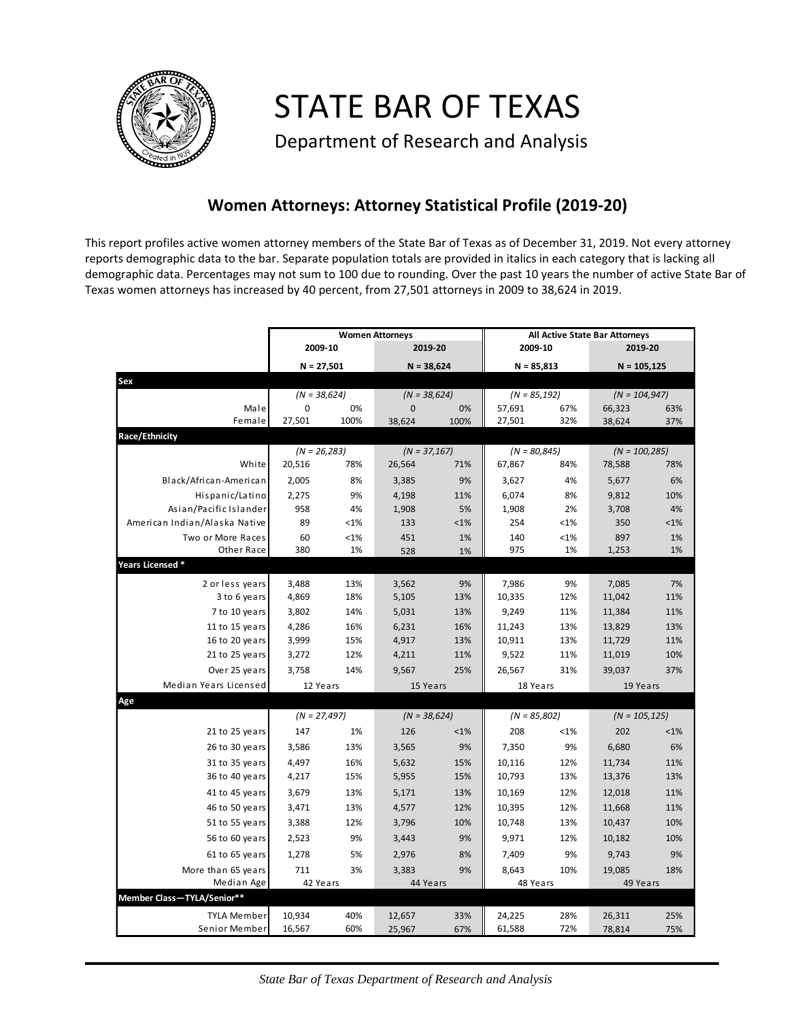

STATE BAR OF TEXAS

Department of Research and Analysis

## **Women Attorneys: Attorney Statistical Profile (2019-20)**

This report profiles active women attorney members of the State Bar of Texas as of December 31, 2019. Not every attorney reports demographic data to the bar. Separate population totals are provided in italics in each category that is lacking all demographic data. Percentages may not sum to 100 due to rounding. Over the past 10 years the number of active State Bar of Texas women attorneys has increased by 40 percent, from 27,501 attorneys in 2009 to 38,624 in 2019.

|                               | <b>Women Attorneys</b> |      |                   |            | <b>All Active State Bar Attorneys</b> |         |                           |         |  |
|-------------------------------|------------------------|------|-------------------|------------|---------------------------------------|---------|---------------------------|---------|--|
|                               | 2009-10                |      | 2019-20           |            | 2009-10                               |         | 2019-20                   |         |  |
|                               | $N = 27,501$           |      | $N = 38,624$      |            | $N = 85,813$                          |         | $N = 105, 125$            |         |  |
| Sex                           |                        |      |                   |            |                                       |         |                           |         |  |
|                               | $(N = 38,624)$         |      | $(N = 38,624)$    |            | $(N = 85, 192)$                       |         | $(N = 104, 947)$          |         |  |
| Male                          | 0                      | 0%   | $\mathbf 0$       | 0%         | 57,691                                | 67%     | 66,323                    | 63%     |  |
| Female                        | 27,501                 | 100% | 38,624            | 100%       | 27,501                                | 32%     | 38,624                    | 37%     |  |
| Race/Ethnicity                |                        |      |                   |            |                                       |         |                           |         |  |
|                               | $(N = 26,283)$         |      | $(N = 37, 167)$   |            | $(N = 80, 845)$                       |         | $(N = 100, 285)$          |         |  |
| White                         | 20,516                 | 78%  | 26,564            | 71%        | 67,867                                | 84%     | 78,588                    | 78%     |  |
| Black/African-American        | 2,005                  | 8%   | 3,385             | 9%         | 3,627                                 | 4%      | 5,677                     | 6%      |  |
| Hispanic/Latino               | 2,275                  | 9%   | 4,198             | 11%        | 6,074                                 | 8%      | 9,812                     | 10%     |  |
| Asian/Pacific Islander        | 958                    | 4%   | 1,908             | 5%         | 1,908                                 | 2%      | 3,708                     | 4%      |  |
| American Indian/Alaska Native | 89                     | <1%  | 133               | $< 1\%$    | 254                                   | < 1%    | 350                       | $< 1\%$ |  |
| Two or More Races             | 60                     | <1%  | 451               | 1%         | 140                                   | $< 1\%$ | 897                       | 1%      |  |
| Other Race                    | 380                    | 1%   | 528               | 1%         | 975                                   | 1%      | 1,253                     | 1%      |  |
| Years Licensed *              |                        |      |                   |            |                                       |         |                           |         |  |
| 2 or less years               | 3,488                  | 13%  | 3,562             | 9%         | 7,986                                 | 9%      | 7,085                     | 7%      |  |
| 3 to 6 years                  | 4,869                  | 18%  | 5,105             | 13%        | 10,335                                | 12%     | 11,042                    | 11%     |  |
| 7 to 10 years                 | 3,802                  | 14%  | 5,031             | 13%        | 9,249                                 | 11%     | 11,384                    | 11%     |  |
| 11 to 15 years                | 4,286                  | 16%  | 6,231             | 16%        | 11,243                                | 13%     | 13,829                    | 13%     |  |
| 16 to 20 years                | 3,999                  | 15%  | 4,917             | 13%        | 10,911                                | 13%     | 11,729                    | 11%     |  |
| 21 to 25 years                | 3,272                  | 12%  | 4,211             | 11%        | 9,522                                 | 11%     | 11,019                    | 10%     |  |
| Over 25 years                 | 3,758                  | 14%  | 9,567             | 25%        | 26,567                                | 31%     | 39,037                    | 37%     |  |
| Median Years Licensed         | 12 Years               |      | 15 Years          |            | 18 Years                              |         | 19 Years                  |         |  |
| Age                           |                        |      |                   |            |                                       |         |                           |         |  |
|                               | $(N = 27,497)$         |      | $(N = 38,624)$    |            | $(N = 85,802)$                        |         | $(N = 105, 125)$          |         |  |
| 21 to 25 years                | 147                    | 1%   | 126               | $< 1\%$    | 208                                   | $< 1\%$ | 202                       | $< 1\%$ |  |
| 26 to 30 years                | 3,586                  | 13%  | 3,565             | 9%         | 7,350                                 | 9%      | 6,680                     | 6%      |  |
| 31 to 35 years                | 4,497                  | 16%  | 5,632             | 15%        | 10,116                                | 12%     | 11,734                    | 11%     |  |
| 36 to 40 years                | 4,217                  | 15%  | 5,955             | 15%        | 10,793                                | 13%     | 13,376                    | 13%     |  |
| 41 to 45 years                | 3,679                  | 13%  | 5,171             | 13%        | 10,169                                | 12%     | 12,018                    | 11%     |  |
| 46 to 50 years                | 3,471                  | 13%  | 4,577             | 12%        | 10,395                                | 12%     | 11,668                    | 11%     |  |
| 51 to 55 years                | 3,388                  | 12%  | 3,796             | 10%        | 10,748                                | 13%     | 10,437                    | 10%     |  |
| 56 to 60 years                | 2,523                  | 9%   | 3,443             | 9%         | 9,971                                 | 12%     | 10,182                    | 10%     |  |
| 61 to 65 years                | 1,278                  | 5%   | 2,976             | 8%         | 7,409                                 | 9%      | 9,743                     | 9%      |  |
| More than 65 years            |                        |      |                   | 9%         | 8,643                                 | 10%     |                           |         |  |
| Median Age                    | 711<br>3%<br>42 Years  |      | 3,383<br>44 Years |            | 48 Years                              |         | 19,085<br>18%<br>49 Years |         |  |
| Member Class-TYLA/Senior**    |                        |      |                   |            |                                       |         |                           |         |  |
| TYLA Member                   |                        | 40%  |                   |            |                                       | 28%     |                           | 25%     |  |
| Senior Member                 | 10,934<br>16,567       | 60%  | 12,657            | 33%<br>67% | 24,225<br>61,588                      | 72%     | 26,311                    | 75%     |  |
|                               |                        |      | 25,967            |            |                                       |         | 78,814                    |         |  |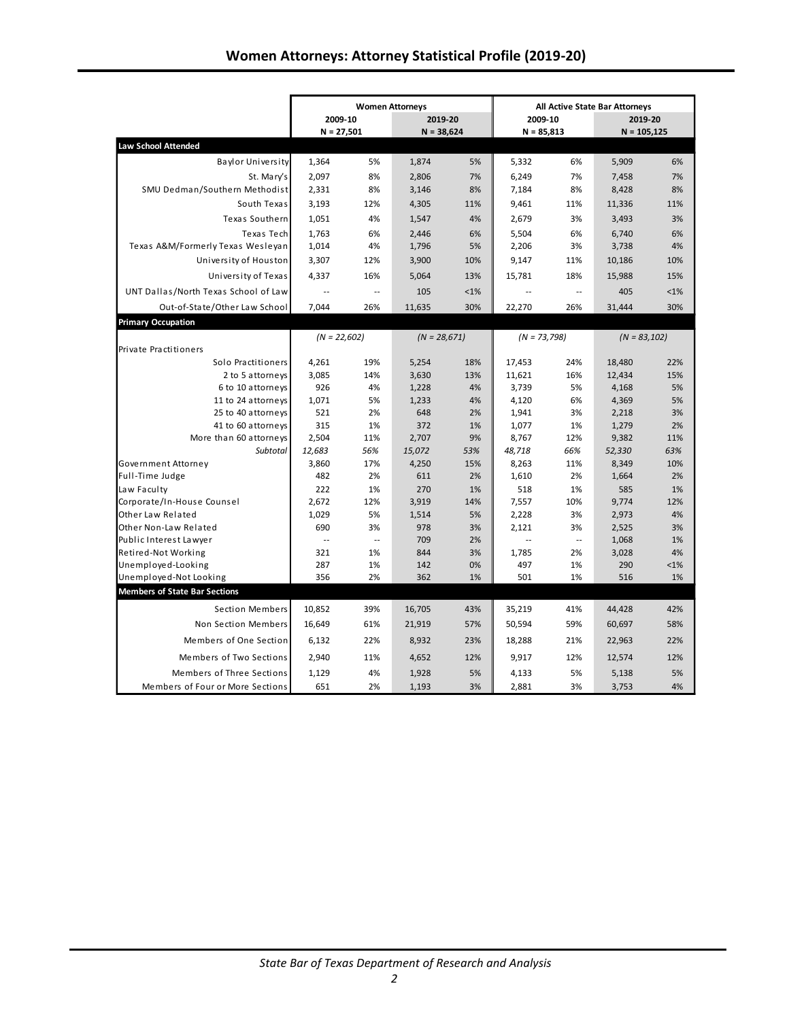|                                      | <b>Women Attorneys</b>   |                          |                |         | <b>All Active State Bar Attorneys</b> |     |                 |         |  |
|--------------------------------------|--------------------------|--------------------------|----------------|---------|---------------------------------------|-----|-----------------|---------|--|
|                                      | 2009-10                  |                          | 2019-20        |         | 2009-10                               |     | 2019-20         |         |  |
|                                      | $N = 27,501$             |                          | $N = 38,624$   |         | $N = 85,813$                          |     | $N = 105,125$   |         |  |
| <b>Law School Attended</b>           |                          |                          |                |         |                                       |     |                 |         |  |
| <b>Baylor University</b>             | 1,364                    | 5%                       | 1,874          | 5%      | 5,332                                 | 6%  | 5,909           | 6%      |  |
| St. Mary's                           | 2.097                    | 8%                       | 2,806          | 7%      | 6.249                                 | 7%  | 7,458           | 7%      |  |
| SMU Dedman/Southern Methodist        | 2,331                    | 8%                       | 3,146          | 8%      | 7,184                                 | 8%  | 8,428           | 8%      |  |
| South Texas                          | 3,193                    | 12%                      | 4,305          | 11%     | 9,461                                 | 11% | 11,336          | 11%     |  |
| Texas Southern                       | 1,051                    | 4%                       | 1,547          | 4%      | 2,679                                 | 3%  | 3,493           | 3%      |  |
| Texas Tech                           | 1.763                    | 6%                       | 2,446          | 6%      | 5.504                                 | 6%  | 6,740           | 6%      |  |
| Texas A&M/Formerly Texas Wesleyan    | 1,014                    | 4%                       | 1,796          | 5%      | 2,206                                 | 3%  | 3,738           | 4%      |  |
| University of Houston                | 3,307                    | 12%                      | 3,900          | 10%     | 9,147                                 | 11% | 10,186          | 10%     |  |
| University of Texas                  | 4,337                    | 16%                      | 5,064          | 13%     | 15,781                                | 18% | 15,988          | 15%     |  |
| UNT Dallas/North Texas School of Law | $\ddotsc$                | $\overline{\phantom{a}}$ | 105            | $< 1\%$ | $\sim$                                | Ξ.  | 405             | < 1%    |  |
| Out-of-State/Other Law School        | 7,044                    | 26%                      | 11,635         | 30%     | 22,270                                | 26% | 31,444          | 30%     |  |
| <b>Primary Occupation</b>            |                          |                          |                |         |                                       |     |                 |         |  |
|                                      | $(N = 22,602)$           |                          | $(N = 28,671)$ |         | $(N = 73,798)$                        |     | $(N = 83, 102)$ |         |  |
| Private Practitioners                |                          |                          |                |         |                                       |     |                 |         |  |
| Solo Practitioners                   | 4,261                    | 19%                      | 5,254          | 18%     | 17,453                                | 24% | 18,480          | 22%     |  |
| 2 to 5 attorneys                     | 3,085                    | 14%                      | 3,630          | 13%     | 11,621                                | 16% | 12,434          | 15%     |  |
| 6 to 10 attorneys                    | 926                      | 4%                       | 1,228          | 4%      | 3,739                                 | 5%  | 4,168           | 5%      |  |
| 11 to 24 attorneys                   | 1,071                    | 5%                       | 1,233          | 4%      | 4,120                                 | 6%  | 4,369           | 5%      |  |
| 25 to 40 attorneys                   | 521                      | 2%                       | 648            | 2%      | 1,941                                 | 3%  | 2,218           | 3%      |  |
| 41 to 60 attorneys                   | 315                      | 1%                       | 372            | 1%      | 1,077                                 | 1%  | 1,279           | 2%      |  |
| More than 60 attorneys               | 2,504                    | 11%                      | 2,707          | 9%      | 8,767                                 | 12% | 9,382           | 11%     |  |
| <b>Subtotal</b>                      | 12,683                   | 56%                      | 15,072         | 53%     | 48,718                                | 66% | 52,330          | 63%     |  |
| Government Attorney                  | 3,860                    | 17%                      | 4,250          | 15%     | 8,263                                 | 11% | 8,349           | 10%     |  |
| Full-Time Judge                      | 482                      | 2%                       | 611            | 2%      | 1,610                                 | 2%  | 1,664           | 2%      |  |
| Law Faculty                          | 222                      | 1%                       | 270            | 1%      | 518                                   | 1%  | 585             | 1%      |  |
| Corporate/In-House Counsel           | 2,672                    | 12%                      | 3,919          | 14%     | 7,557                                 | 10% | 9,774           | 12%     |  |
| Other Law Related                    | 1,029                    | 5%                       | 1,514          | 5%      | 2,228                                 | 3%  | 2,973           | 4%      |  |
| Other Non-Law Related                | 690                      | 3%                       | 978            | 3%      | 2,121                                 | 3%  | 2,525           | 3%      |  |
| Public Interest Lawyer               | $\overline{\phantom{a}}$ | $\ddotsc$                | 709            | 2%      | u.                                    | ÷.  | 1,068           | 1%      |  |
| Retired-Not Working                  | 321                      | 1%                       | 844            | 3%      | 1,785                                 | 2%  | 3,028           | 4%      |  |
| Unemployed-Looking                   | 287                      | 1%                       | 142            | 0%      | 497                                   | 1%  | 290             | $< 1\%$ |  |
| Unemployed-Not Looking               | 356                      | 2%                       | 362            | 1%      | 501                                   | 1%  | 516             | 1%      |  |
| <b>Members of State Bar Sections</b> |                          |                          |                |         |                                       |     |                 |         |  |
| <b>Section Members</b>               | 10,852                   | 39%                      | 16,705         | 43%     | 35,219                                | 41% | 44,428          | 42%     |  |
| Non Section Members                  | 16.649                   | 61%                      | 21,919         | 57%     | 50,594                                | 59% | 60,697          | 58%     |  |
| Members of One Section               | 6,132                    | 22%                      | 8,932          | 23%     | 18,288                                | 21% | 22,963          | 22%     |  |
| Members of Two Sections              | 2,940                    | 11%                      | 4,652          | 12%     | 9,917                                 | 12% | 12,574          | 12%     |  |
| Members of Three Sections            | 1,129                    | 4%                       | 1,928          | 5%      | 4,133                                 | 5%  | 5,138           | 5%      |  |
| Members of Four or More Sections     | 651                      | 2%                       | 1,193          | 3%      | 2,881                                 | 3%  | 3,753           | 4%      |  |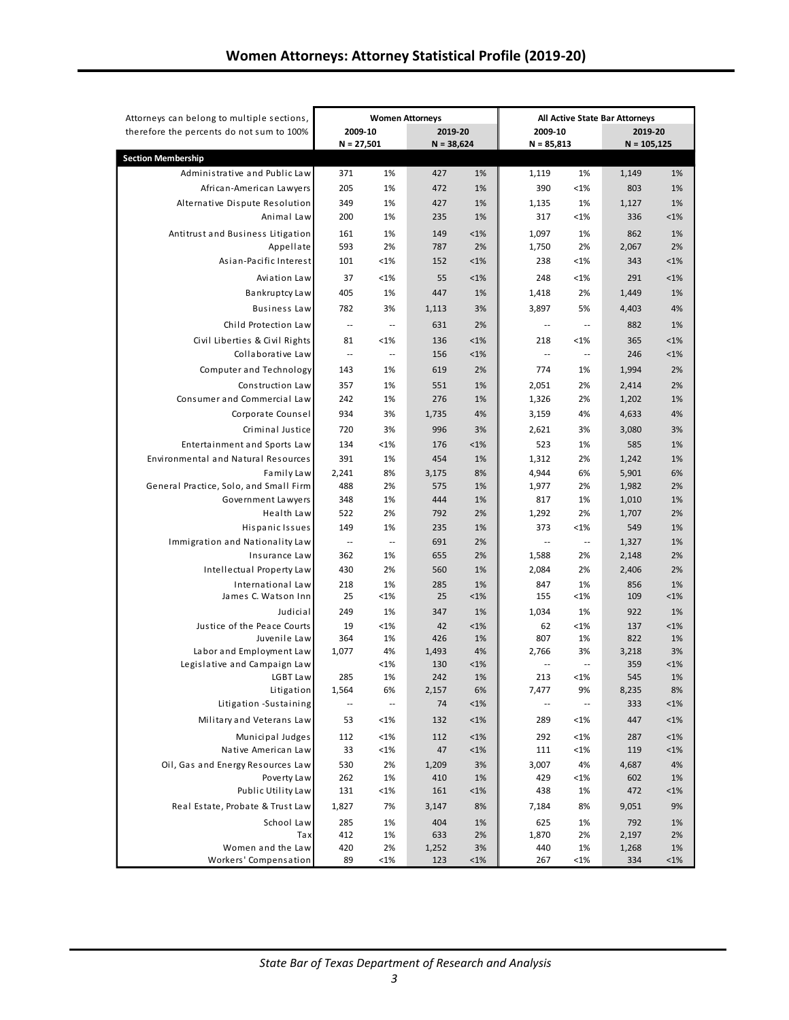| Attorneys can belong to multiple sections,                                 | <b>Women Attorneys</b>     |                          |              | All Active State Bar Attorneys |                                   |                                |                |               |
|----------------------------------------------------------------------------|----------------------------|--------------------------|--------------|--------------------------------|-----------------------------------|--------------------------------|----------------|---------------|
| therefore the percents do not sum to 100%                                  | 2009-10                    |                          | 2019-20      |                                | 2009-10                           |                                | 2019-20        |               |
|                                                                            | $N = 27,501$               |                          | $N = 38,624$ |                                | $N = 85,813$                      |                                | $N = 105,125$  |               |
| <b>Section Membership</b>                                                  |                            |                          |              |                                |                                   |                                |                |               |
| Administrative and Public Law                                              | 371                        | 1%                       | 427          | 1%                             | 1,119                             | 1%                             | 1,149          | 1%            |
| African-American Lawyers                                                   | 205                        | 1%                       | 472          | 1%                             | 390                               | $< 1\%$                        | 803            | 1%            |
| Alternative Dispute Resolution                                             | 349                        | 1%                       | 427          | 1%                             | 1,135                             | 1%                             | 1,127          | 1%            |
| Animal Law                                                                 | 200                        | 1%                       | 235          | 1%                             | 317                               | <1%                            | 336            | $< 1\%$       |
| Antitrust and Business Litigation                                          | 161                        | 1%                       | 149          | $<1\%$                         | 1,097                             | 1%                             | 862            | 1%            |
| Appellate                                                                  | 593                        | 2%                       | 787          | 2%                             | 1,750                             | 2%                             | 2,067          | 2%            |
| Asian-Pacific Interest                                                     | 101                        | $< 1\%$                  | 152          | $<1\%$                         | 238                               | $< 1\%$                        | 343            | $< 1\%$       |
| Aviation Law                                                               | 37                         | < 1%                     | 55           | $<1\%$                         | 248                               | $< 1\%$                        | 291            | < 1%          |
| Bankruptcy Law                                                             | 405                        | 1%                       | 447          | 1%                             | 1,418                             | 2%                             | 1,449          | 1%            |
| <b>Business Law</b>                                                        | 782                        | 3%                       | 1,113        | 3%                             | 3,897                             | 5%                             | 4,403          | 4%            |
| Child Protection Law                                                       | $\overline{\phantom{a}}$ . | $\overline{\phantom{a}}$ | 631          | 2%                             | $\overline{\phantom{a}}$          | $\overline{\phantom{a}}$       | 882            | 1%            |
| Civil Liberties & Civil Rights                                             | 81                         | < 1%                     | 136          | $< 1\%$                        | 218                               | $< 1\%$                        | 365            | $< 1\%$       |
| Collaborative Law                                                          | $\overline{\phantom{a}}$   | $\overline{\phantom{a}}$ | 156          | $< 1\%$                        | $\ddotsc$                         | $\sim$ $\sim$                  | 246            | $< 1\%$       |
| Computer and Technology                                                    | 143                        | 1%                       | 619          | 2%                             | 774                               | 1%                             | 1,994          | 2%            |
| Construction Law                                                           | 357                        | 1%                       | 551          | 1%                             | 2,051                             | 2%                             | 2,414          | 2%            |
| Consumer and Commercial Law                                                | 242                        | 1%                       | 276          | 1%                             | 1,326                             | 2%                             | 1,202          | 1%            |
| Corporate Counsel                                                          | 934                        | 3%                       | 1,735        | 4%                             | 3,159                             | 4%                             | 4,633          | 4%            |
| Criminal Justice                                                           | 720                        | 3%                       | 996          | 3%                             |                                   | 3%                             |                | 3%            |
|                                                                            |                            |                          |              |                                | 2,621                             |                                | 3,080          |               |
| Entertainment and Sports Law<br><b>Environmental and Natural Resources</b> | 134                        | $< 1\%$                  | 176          | $<1\%$                         | 523                               | 1%<br>2%                       | 585            | 1%            |
|                                                                            | 391                        | 1%<br>8%                 | 454<br>3,175 | 1%<br>8%                       | 1,312                             | 6%                             | 1,242          | 1%<br>6%      |
| Family Law<br>General Practice, Solo, and Small Firm                       | 2,241<br>488               | 2%                       | 575          | 1%                             | 4,944<br>1,977                    | 2%                             | 5,901<br>1,982 | 2%            |
| Government Lawyers                                                         | 348                        | 1%                       | 444          | 1%                             | 817                               | 1%                             | 1,010          | 1%            |
| Health Law                                                                 | 522                        | 2%                       | 792          | 2%                             | 1,292                             | 2%                             | 1,707          | 2%            |
| Hispanic Issues                                                            | 149                        | 1%                       | 235          | 1%                             | 373                               | $< 1\%$                        | 549            | 1%            |
| Immigration and Nationality Law                                            | $\sim$                     | $\ddotsc$                | 691          | 2%                             | $\sim$                            | $\ddotsc$                      | 1,327          | 1%            |
| Insurance Law                                                              | 362                        | 1%                       | 655          | 2%                             | 1,588                             | 2%                             | 2,148          | 2%            |
| Intellectual Property Law                                                  | 430                        | 2%                       | 560          | 1%                             | 2,084                             | 2%                             | 2,406          | 2%            |
| International Law                                                          | 218                        | 1%                       | 285          | 1%                             | 847                               | 1%                             | 856            | 1%            |
| James C. Watson Inn                                                        | 25                         | <1%                      | 25           | $<1\%$                         | 155                               | $< 1\%$                        | 109            | $< 1\%$       |
| Judicial                                                                   | 249                        | 1%                       | 347          | 1%                             | 1,034                             | 1%                             | 922            | 1%            |
| Justice of the Peace Courts                                                | 19                         | < 1%                     | 42           | $<1\%$                         | 62                                | $< 1\%$                        | 137            | $< 1\%$       |
| Juvenile Law                                                               | 364                        | 1%                       | 426          | 1%                             | 807                               | 1%                             | 822            | 1%            |
| Labor and Employment Law<br>Legislative and Campaign Law                   | 1,077                      | 4%<br>< 1%               | 1,493<br>130 | 4%<br>$<1\%$                   | 2,766<br>$\overline{\phantom{a}}$ | 3%<br>$\overline{\phantom{a}}$ | 3,218<br>359   | 3%<br>$< 1\%$ |
| LGBT Law                                                                   | 285                        | 1%                       | 242          | 1%                             | 213                               | < 1%                           | 545            | 1%            |
| Litigation                                                                 | 1,564                      | 6%                       | 2,157        | 6%                             | 7,477                             | 9%                             | 8,235          | 8%            |
| Litigation -Sustaining                                                     | $\overline{\phantom{a}}$   | $\overline{\phantom{a}}$ | 74           | $<1\%$                         | $\overline{\phantom{a}}$          | $\overline{\phantom{a}}$       | 333            | $< 1\%$       |
| Military and Veterans Law                                                  | 53                         | <1%                      | 132          | $< 1\%$                        | 289                               | $< 1\%$                        | 447            | $< 1\%$       |
| Municipal Judges                                                           | 112                        | <1%                      | 112          | $<1\%$                         | 292                               | <1%                            | 287            | $< 1\%$       |
| Native American Law                                                        | 33                         | <1%                      | 47           | $< 1\%$                        | 111                               | $< 1\%$                        | 119            | $< 1\%$       |
| Oil, Gas and Energy Resources Law                                          | 530                        | 2%                       | 1,209        | 3%                             | 3,007                             | 4%                             | 4,687          | 4%            |
| Poverty Law                                                                | 262                        | 1%                       | 410          | 1%                             | 429                               | $< 1\%$                        | 602            | 1%            |
| Public Utility Law                                                         | 131                        | <1%                      | 161          | $< 1\%$                        | 438                               | 1%                             | 472            | <1%           |
| Real Estate, Probate & Trust Law                                           | 1,827                      | 7%                       | 3,147        | 8%                             | 7,184                             | 8%                             | 9,051          | 9%            |
| School Law                                                                 | 285                        | 1%                       | 404          | 1%                             | 625                               | 1%                             | 792            | 1%            |
| Tax                                                                        | 412                        | 1%                       | 633          | 2%                             | 1,870                             | 2%                             | 2,197          | 2%            |
| Women and the Law                                                          | 420                        | 2%                       | 1,252        | 3%                             | 440                               | 1%                             | 1,268          | 1%            |
| Workers' Compensation                                                      | 89                         | <1%                      | 123          | $< 1\%$                        | 267                               | $< 1\%$                        | 334            | $< 1\%$       |